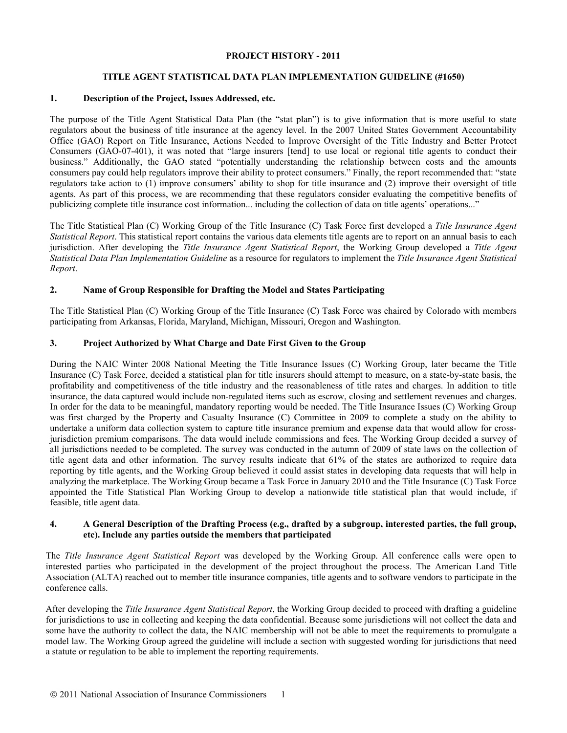## **PROJECT HISTORY - 2011**

# **TITLE AGENT STATISTICAL DATA PLAN IMPLEMENTATION GUIDELINE (#1650)**

#### **1. Description of the Project, Issues Addressed, etc.**

The purpose of the Title Agent Statistical Data Plan (the "stat plan") is to give information that is more useful to state regulators about the business of title insurance at the agency level. In the 2007 United States Government Accountability Office (GAO) Report on Title Insurance, Actions Needed to Improve Oversight of the Title Industry and Better Protect Consumers (GAO-07-401), it was noted that "large insurers [tend] to use local or regional title agents to conduct their business." Additionally, the GAO stated "potentially understanding the relationship between costs and the amounts consumers pay could help regulators improve their ability to protect consumers." Finally, the report recommended that: "state regulators take action to (1) improve consumers' ability to shop for title insurance and (2) improve their oversight of title agents. As part of this process, we are recommending that these regulators consider evaluating the competitive benefits of publicizing complete title insurance cost information... including the collection of data on title agents' operations..."

The Title Statistical Plan (C) Working Group of the Title Insurance (C) Task Force first developed a *Title Insurance Agent Statistical Report*. This statistical report contains the various data elements title agents are to report on an annual basis to each jurisdiction. After developing the *Title Insurance Agent Statistical Report*, the Working Group developed a *Title Agent Statistical Data Plan Implementation Guideline* as a resource for regulators to implement the *Title Insurance Agent Statistical Report*.

# **2. Name of Group Responsible for Drafting the Model and States Participating**

The Title Statistical Plan (C) Working Group of the Title Insurance (C) Task Force was chaired by Colorado with members participating from Arkansas, Florida, Maryland, Michigan, Missouri, Oregon and Washington.

#### **3. Project Authorized by What Charge and Date First Given to the Group**

During the NAIC Winter 2008 National Meeting the Title Insurance Issues (C) Working Group, later became the Title Insurance (C) Task Force, decided a statistical plan for title insurers should attempt to measure, on a state-by-state basis, the profitability and competitiveness of the title industry and the reasonableness of title rates and charges. In addition to title insurance, the data captured would include non-regulated items such as escrow, closing and settlement revenues and charges. In order for the data to be meaningful, mandatory reporting would be needed. The Title Insurance Issues (C) Working Group was first charged by the Property and Casualty Insurance (C) Committee in 2009 to complete a study on the ability to undertake a uniform data collection system to capture title insurance premium and expense data that would allow for crossjurisdiction premium comparisons. The data would include commissions and fees. The Working Group decided a survey of all jurisdictions needed to be completed. The survey was conducted in the autumn of 2009 of state laws on the collection of title agent data and other information. The survey results indicate that 61% of the states are authorized to require data reporting by title agents, and the Working Group believed it could assist states in developing data requests that will help in analyzing the marketplace. The Working Group became a Task Force in January 2010 and the Title Insurance (C) Task Force appointed the Title Statistical Plan Working Group to develop a nationwide title statistical plan that would include, if feasible, title agent data.

#### **4. A General Description of the Drafting Process (e.g., drafted by a subgroup, interested parties, the full group, etc). Include any parties outside the members that participated**

The *Title Insurance Agent Statistical Report* was developed by the Working Group. All conference calls were open to interested parties who participated in the development of the project throughout the process. The American Land Title Association (ALTA) reached out to member title insurance companies, title agents and to software vendors to participate in the conference calls.

After developing the *Title Insurance Agent Statistical Report*, the Working Group decided to proceed with drafting a guideline for jurisdictions to use in collecting and keeping the data confidential. Because some jurisdictions will not collect the data and some have the authority to collect the data, the NAIC membership will not be able to meet the requirements to promulgate a model law. The Working Group agreed the guideline will include a section with suggested wording for jurisdictions that need a statute or regulation to be able to implement the reporting requirements.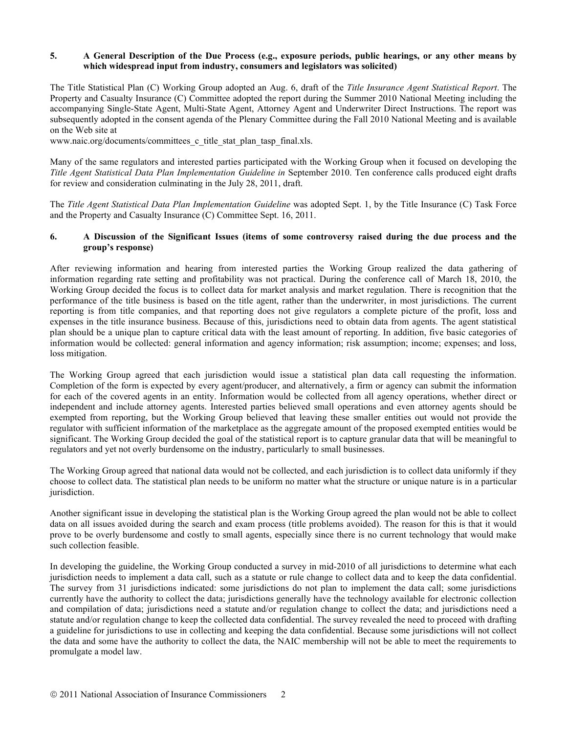## **5. A General Description of the Due Process (e.g., exposure periods, public hearings, or any other means by which widespread input from industry, consumers and legislators was solicited)**

The Title Statistical Plan (C) Working Group adopted an Aug. 6, draft of the *Title Insurance Agent Statistical Report*. The Property and Casualty Insurance (C) Committee adopted the report during the Summer 2010 National Meeting including the accompanying Single-State Agent, Multi-State Agent, Attorney Agent and Underwriter Direct Instructions. The report was subsequently adopted in the consent agenda of the Plenary Committee during the Fall 2010 National Meeting and is available on the Web site at

www.naic.org/documents/committees\_c\_title\_stat\_plan\_tasp\_final.xls.

Many of the same regulators and interested parties participated with the Working Group when it focused on developing the *Title Agent Statistical Data Plan Implementation Guideline in* September 2010. Ten conference calls produced eight drafts for review and consideration culminating in the July 28, 2011, draft.

The *Title Agent Statistical Data Plan Implementation Guideline* was adopted Sept. 1, by the Title Insurance (C) Task Force and the Property and Casualty Insurance (C) Committee Sept. 16, 2011.

## **6. A Discussion of the Significant Issues (items of some controversy raised during the due process and the group's response)**

After reviewing information and hearing from interested parties the Working Group realized the data gathering of information regarding rate setting and profitability was not practical. During the conference call of March 18, 2010, the Working Group decided the focus is to collect data for market analysis and market regulation. There is recognition that the performance of the title business is based on the title agent, rather than the underwriter, in most jurisdictions. The current reporting is from title companies, and that reporting does not give regulators a complete picture of the profit, loss and expenses in the title insurance business. Because of this, jurisdictions need to obtain data from agents. The agent statistical plan should be a unique plan to capture critical data with the least amount of reporting. In addition, five basic categories of information would be collected: general information and agency information; risk assumption; income; expenses; and loss, loss mitigation.

The Working Group agreed that each jurisdiction would issue a statistical plan data call requesting the information. Completion of the form is expected by every agent/producer, and alternatively, a firm or agency can submit the information for each of the covered agents in an entity. Information would be collected from all agency operations, whether direct or independent and include attorney agents. Interested parties believed small operations and even attorney agents should be exempted from reporting, but the Working Group believed that leaving these smaller entities out would not provide the regulator with sufficient information of the marketplace as the aggregate amount of the proposed exempted entities would be significant. The Working Group decided the goal of the statistical report is to capture granular data that will be meaningful to regulators and yet not overly burdensome on the industry, particularly to small businesses.

The Working Group agreed that national data would not be collected, and each jurisdiction is to collect data uniformly if they choose to collect data. The statistical plan needs to be uniform no matter what the structure or unique nature is in a particular jurisdiction.

Another significant issue in developing the statistical plan is the Working Group agreed the plan would not be able to collect data on all issues avoided during the search and exam process (title problems avoided). The reason for this is that it would prove to be overly burdensome and costly to small agents, especially since there is no current technology that would make such collection feasible.

In developing the guideline, the Working Group conducted a survey in mid-2010 of all jurisdictions to determine what each jurisdiction needs to implement a data call, such as a statute or rule change to collect data and to keep the data confidential. The survey from 31 jurisdictions indicated: some jurisdictions do not plan to implement the data call; some jurisdictions currently have the authority to collect the data; jurisdictions generally have the technology available for electronic collection and compilation of data; jurisdictions need a statute and/or regulation change to collect the data; and jurisdictions need a statute and/or regulation change to keep the collected data confidential. The survey revealed the need to proceed with drafting a guideline for jurisdictions to use in collecting and keeping the data confidential. Because some jurisdictions will not collect the data and some have the authority to collect the data, the NAIC membership will not be able to meet the requirements to promulgate a model law.